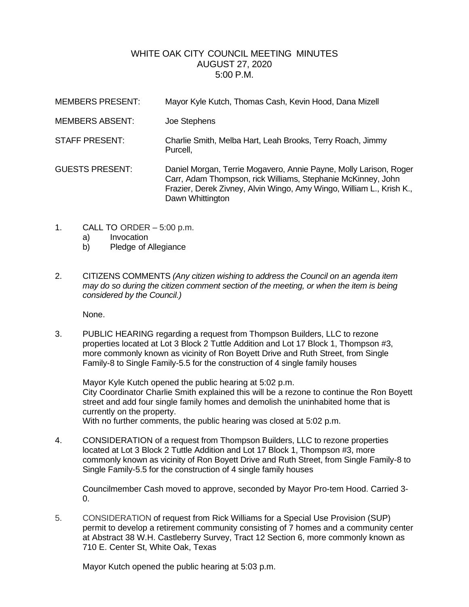## WHITE OAK CITY COUNCIL MEETING MINUTES AUGUST 27, 2020 5:00 P.M.

| <b>MEMBERS PRESENT:</b> | Mayor Kyle Kutch, Thomas Cash, Kevin Hood, Dana Mizell                                                                                                                                                                        |
|-------------------------|-------------------------------------------------------------------------------------------------------------------------------------------------------------------------------------------------------------------------------|
| <b>MEMBERS ABSENT:</b>  | Joe Stephens                                                                                                                                                                                                                  |
| <b>STAFF PRESENT:</b>   | Charlie Smith, Melba Hart, Leah Brooks, Terry Roach, Jimmy<br>Purcell,                                                                                                                                                        |
| <b>GUESTS PRESENT:</b>  | Daniel Morgan, Terrie Mogavero, Annie Payne, Molly Larison, Roger<br>Carr, Adam Thompson, rick Williams, Stephanie McKinney, John<br>Frazier, Derek Zivney, Alvin Wingo, Amy Wingo, William L., Krish K.,<br>Dawn Whittington |

- 1. CALL TO ORDER 5:00 p.m.
	- a) Invocation
	- b) Pledge of Allegiance
- 2. CITIZENS COMMENTS *(Any citizen wishing to address the Council on an agenda item may do so during the citizen comment section of the meeting, or when the item is being considered by the Council.)*

None.

3. PUBLIC HEARING regarding a request from Thompson Builders, LLC to rezone properties located at Lot 3 Block 2 Tuttle Addition and Lot 17 Block 1, Thompson #3, more commonly known as vicinity of Ron Boyett Drive and Ruth Street, from Single Family-8 to Single Family-5.5 for the construction of 4 single family houses

Mayor Kyle Kutch opened the public hearing at 5:02 p.m. City Coordinator Charlie Smith explained this will be a rezone to continue the Ron Boyett street and add four single family homes and demolish the uninhabited home that is currently on the property. With no further comments, the public hearing was closed at 5:02 p.m.

4. CONSIDERATION of a request from Thompson Builders, LLC to rezone properties located at Lot 3 Block 2 Tuttle Addition and Lot 17 Block 1, Thompson #3, more commonly known as vicinity of Ron Boyett Drive and Ruth Street, from Single Family-8 to Single Family-5.5 for the construction of 4 single family houses

Councilmember Cash moved to approve, seconded by Mayor Pro-tem Hood. Carried 3-  $\Omega$ 

5. CONSIDERATION of request from Rick Williams for a Special Use Provision (SUP) permit to develop a retirement community consisting of 7 homes and a community center at Abstract 38 W.H. Castleberry Survey, Tract 12 Section 6, more commonly known as 710 E. Center St, White Oak, Texas

Mayor Kutch opened the public hearing at 5:03 p.m.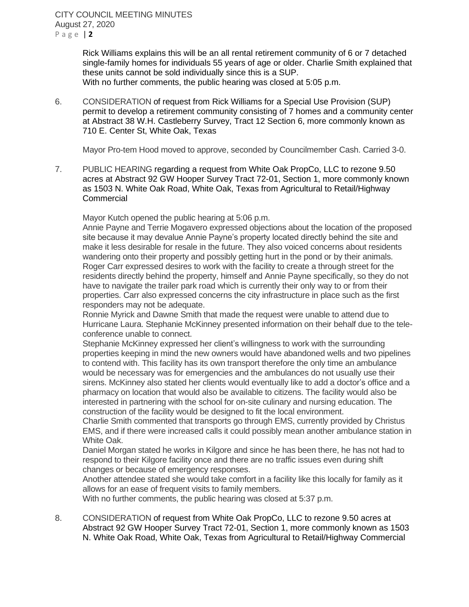Rick Williams explains this will be an all rental retirement community of 6 or 7 detached single-family homes for individuals 55 years of age or older. Charlie Smith explained that these units cannot be sold individually since this is a SUP. With no further comments, the public hearing was closed at 5:05 p.m.

6. CONSIDERATION of request from Rick Williams for a Special Use Provision (SUP) permit to develop a retirement community consisting of 7 homes and a community center at Abstract 38 W.H. Castleberry Survey, Tract 12 Section 6, more commonly known as 710 E. Center St, White Oak, Texas

Mayor Pro-tem Hood moved to approve, seconded by Councilmember Cash. Carried 3-0.

7. PUBLIC HEARING regarding a request from White Oak PropCo, LLC to rezone 9.50 acres at Abstract 92 GW Hooper Survey Tract 72-01, Section 1, more commonly known as 1503 N. White Oak Road, White Oak, Texas from Agricultural to Retail/Highway **Commercial** 

Mayor Kutch opened the public hearing at 5:06 p.m.

Annie Payne and Terrie Mogavero expressed objections about the location of the proposed site because it may devalue Annie Payne's property located directly behind the site and make it less desirable for resale in the future. They also voiced concerns about residents wandering onto their property and possibly getting hurt in the pond or by their animals. Roger Carr expressed desires to work with the facility to create a through street for the residents directly behind the property, himself and Annie Payne specifically, so they do not have to navigate the trailer park road which is currently their only way to or from their properties. Carr also expressed concerns the city infrastructure in place such as the first responders may not be adequate.

Ronnie Myrick and Dawne Smith that made the request were unable to attend due to Hurricane Laura. Stephanie McKinney presented information on their behalf due to the teleconference unable to connect.

Stephanie McKinney expressed her client's willingness to work with the surrounding properties keeping in mind the new owners would have abandoned wells and two pipelines to contend with. This facility has its own transport therefore the only time an ambulance would be necessary was for emergencies and the ambulances do not usually use their sirens. McKinney also stated her clients would eventually like to add a doctor's office and a pharmacy on location that would also be available to citizens. The facility would also be interested in partnering with the school for on-site culinary and nursing education. The construction of the facility would be designed to fit the local environment.

Charlie Smith commented that transports go through EMS, currently provided by Christus EMS, and if there were increased calls it could possibly mean another ambulance station in White Oak.

Daniel Morgan stated he works in Kilgore and since he has been there, he has not had to respond to their Kilgore facility once and there are no traffic issues even during shift changes or because of emergency responses.

Another attendee stated she would take comfort in a facility like this locally for family as it allows for an ease of frequent visits to family members.

With no further comments, the public hearing was closed at 5:37 p.m.

8. CONSIDERATION of request from White Oak PropCo, LLC to rezone 9.50 acres at Abstract 92 GW Hooper Survey Tract 72-01, Section 1, more commonly known as 1503 N. White Oak Road, White Oak, Texas from Agricultural to Retail/Highway Commercial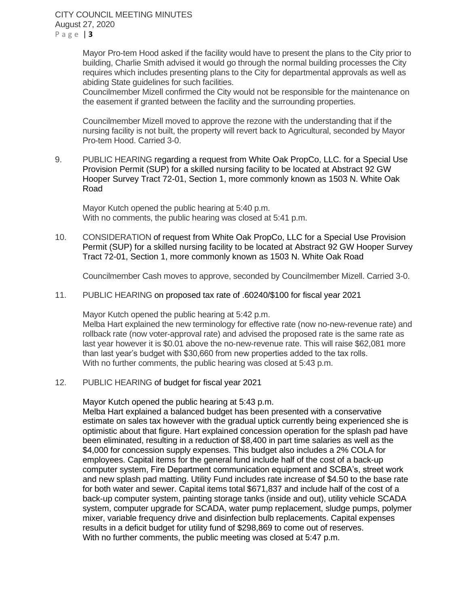Mayor Pro-tem Hood asked if the facility would have to present the plans to the City prior to building, Charlie Smith advised it would go through the normal building processes the City requires which includes presenting plans to the City for departmental approvals as well as abiding State guidelines for such facilities.

Councilmember Mizell confirmed the City would not be responsible for the maintenance on the easement if granted between the facility and the surrounding properties.

Councilmember Mizell moved to approve the rezone with the understanding that if the nursing facility is not built, the property will revert back to Agricultural, seconded by Mayor Pro-tem Hood. Carried 3-0.

9. PUBLIC HEARING regarding a request from White Oak PropCo, LLC. for a Special Use Provision Permit (SUP) for a skilled nursing facility to be located at Abstract 92 GW Hooper Survey Tract 72-01, Section 1, more commonly known as 1503 N. White Oak Road

Mayor Kutch opened the public hearing at 5:40 p.m. With no comments, the public hearing was closed at 5:41 p.m.

10. CONSIDERATION of request from White Oak PropCo, LLC for a Special Use Provision Permit (SUP) for a skilled nursing facility to be located at Abstract 92 GW Hooper Survey Tract 72-01, Section 1, more commonly known as 1503 N. White Oak Road

Councilmember Cash moves to approve, seconded by Councilmember Mizell. Carried 3-0.

11. PUBLIC HEARING on proposed tax rate of .60240/\$100 for fiscal year 2021

Mayor Kutch opened the public hearing at 5:42 p.m.

Melba Hart explained the new terminology for effective rate (now no-new-revenue rate) and rollback rate (now voter-approval rate) and advised the proposed rate is the same rate as last year however it is \$0.01 above the no-new-revenue rate. This will raise \$62,081 more than last year's budget with \$30,660 from new properties added to the tax rolls. With no further comments, the public hearing was closed at 5:43 p.m.

12. PUBLIC HEARING of budget for fiscal year 2021

Mayor Kutch opened the public hearing at 5:43 p.m.

Melba Hart explained a balanced budget has been presented with a conservative estimate on sales tax however with the gradual uptick currently being experienced she is optimistic about that figure. Hart explained concession operation for the splash pad have been eliminated, resulting in a reduction of \$8,400 in part time salaries as well as the \$4,000 for concession supply expenses. This budget also includes a 2% COLA for employees. Capital items for the general fund include half of the cost of a back-up computer system, Fire Department communication equipment and SCBA's, street work and new splash pad matting. Utility Fund includes rate increase of \$4.50 to the base rate for both water and sewer. Capital items total \$671,837 and include half of the cost of a back-up computer system, painting storage tanks (inside and out), utility vehicle SCADA system, computer upgrade for SCADA, water pump replacement, sludge pumps, polymer mixer, variable frequency drive and disinfection bulb replacements. Capital expenses results in a deficit budget for utility fund of \$298,869 to come out of reserves. With no further comments, the public meeting was closed at 5:47 p.m.